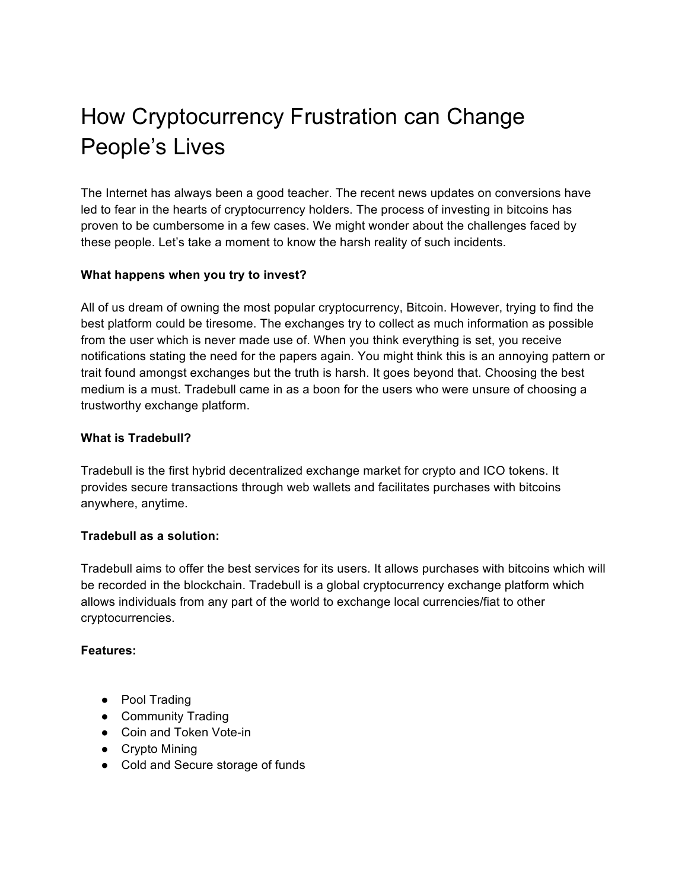# How Cryptocurrency Frustration can Change People's Lives

The Internet has always been a good teacher. The recent news updates on conversions have led to fear in the hearts of cryptocurrency holders. The process of investing in bitcoins has proven to be cumbersome in a few cases. We might wonder about the challenges faced by these people. Let's take a moment to know the harsh reality of such incidents.

# **What happens when you try to invest?**

All of us dream of owning the most popular cryptocurrency, Bitcoin. However, trying to find the best platform could be tiresome. The exchanges try to collect as much information as possible from the user which is never made use of. When you think everything is set, you receive notifications stating the need for the papers again. You might think this is an annoying pattern or trait found amongst exchanges but the truth is harsh. It goes beyond that. Choosing the best medium is a must. Tradebull came in as a boon for the users who were unsure of choosing a trustworthy exchange platform.

# **What is Tradebull?**

Tradebull is the first hybrid decentralized exchange market for crypto and ICO tokens. It provides secure transactions through web wallets and facilitates purchases with bitcoins anywhere, anytime.

# **Tradebull as a solution:**

Tradebull aims to offer the best services for its users. It allows purchases with bitcoins which will be recorded in the blockchain. Tradebull is a global cryptocurrency exchange platform which allows individuals from any part of the world to exchange local currencies/fiat to other cryptocurrencies.

# **Features:**

- Pool Trading
- Community Trading
- Coin and Token Vote-in
- Crypto Mining
- Cold and Secure storage of funds